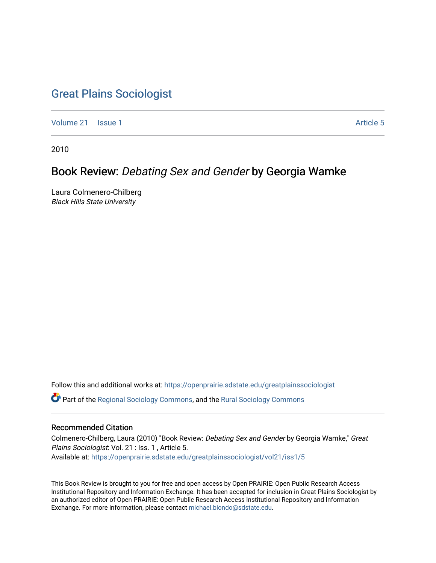## [Great Plains Sociologist](https://openprairie.sdstate.edu/greatplainssociologist)

[Volume 21](https://openprairie.sdstate.edu/greatplainssociologist/vol21) | [Issue 1](https://openprairie.sdstate.edu/greatplainssociologist/vol21/iss1) Article 5

2010

## Book Review: Debating Sex and Gender by Georgia Wamke

Laura Colmenero-Chilberg Black Hills State University

Follow this and additional works at: [https://openprairie.sdstate.edu/greatplainssociologist](https://openprairie.sdstate.edu/greatplainssociologist?utm_source=openprairie.sdstate.edu%2Fgreatplainssociologist%2Fvol21%2Fiss1%2F5&utm_medium=PDF&utm_campaign=PDFCoverPages) 

Part of the [Regional Sociology Commons](http://network.bepress.com/hgg/discipline/427?utm_source=openprairie.sdstate.edu%2Fgreatplainssociologist%2Fvol21%2Fiss1%2F5&utm_medium=PDF&utm_campaign=PDFCoverPages), and the [Rural Sociology Commons](http://network.bepress.com/hgg/discipline/428?utm_source=openprairie.sdstate.edu%2Fgreatplainssociologist%2Fvol21%2Fiss1%2F5&utm_medium=PDF&utm_campaign=PDFCoverPages) 

#### Recommended Citation

Colmenero-Chilberg, Laura (2010) "Book Review: Debating Sex and Gender by Georgia Wamke," Great Plains Sociologist: Vol. 21 : Iss. 1 , Article 5. Available at: [https://openprairie.sdstate.edu/greatplainssociologist/vol21/iss1/5](https://openprairie.sdstate.edu/greatplainssociologist/vol21/iss1/5?utm_source=openprairie.sdstate.edu%2Fgreatplainssociologist%2Fvol21%2Fiss1%2F5&utm_medium=PDF&utm_campaign=PDFCoverPages)

This Book Review is brought to you for free and open access by Open PRAIRIE: Open Public Research Access Institutional Repository and Information Exchange. It has been accepted for inclusion in Great Plains Sociologist by an authorized editor of Open PRAIRIE: Open Public Research Access Institutional Repository and Information Exchange. For more information, please contact [michael.biondo@sdstate.edu.](mailto:michael.biondo@sdstate.edu)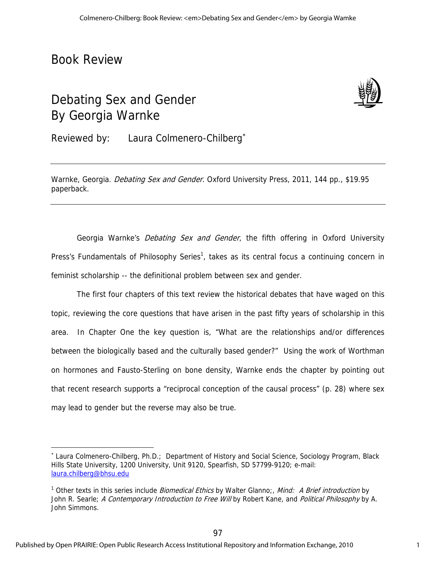## Book Review

 $\overline{a}$ 

# Debating Sex and Gender By Georgia Warnke



Reviewed by: Laura Colmenero-Chilberg

Warnke, Georgia. Debating Sex and Gender. Oxford University Press, 2011, 144 pp., \$19.95 paperback.

Georgia Warnke's *Debating Sex and Gender*, the fifth offering in Oxford University Press's Fundamentals of Philosophy Series<sup>1</sup>, takes as its central focus a continuing concern in feminist scholarship -- the definitional problem between sex and gender.

The first four chapters of this text review the historical debates that have waged on this topic, reviewing the core questions that have arisen in the past fifty years of scholarship in this area. In Chapter One the key question is, "What are the relationships and/or differences between the biologically based and the culturally based gender?" Using the work of Worthman on hormones and Fausto-Sterling on bone density, Warnke ends the chapter by pointing out that recent research supports a "reciprocal conception of the causal process" (p. 28) where sex may lead to gender but the reverse may also be true.

 Laura Colmenero-Chilberg, Ph.D.; Department of History and Social Science, Sociology Program, Black Hills State University, 1200 University, Unit 9120, Spearfish, SD 57799-9120; e-mail: laura.chilberg@bhsu.edu

<sup>&</sup>lt;sup>1</sup> Other texts in this series include *Biomedical Ethics* by Walter Glanno;, *Mind: A Brief introduction* by John R. Searle; A Contemporary Introduction to Free Will by Robert Kane, and Political Philosophy by A. John Simmons.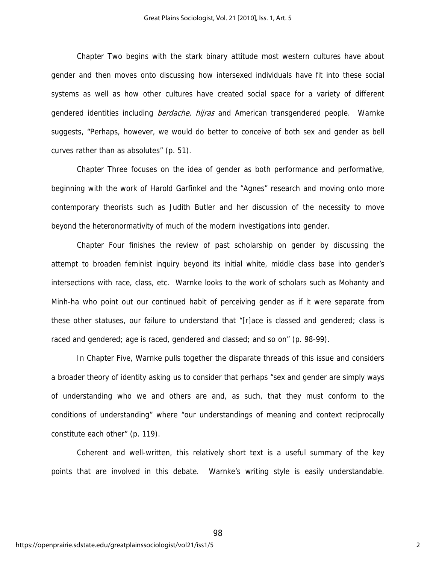Chapter Two begins with the stark binary attitude most western cultures have about gender and then moves onto discussing how intersexed individuals have fit into these social systems as well as how other cultures have created social space for a variety of different gendered identities including *berdache, hijras* and American transgendered people. Warnke suggests, "Perhaps, however, we would do better to conceive of both sex and gender as bell curves rather than as absolutes" (p. 51).

Chapter Three focuses on the idea of gender as both performance and performative, beginning with the work of Harold Garfinkel and the "Agnes" research and moving onto more contemporary theorists such as Judith Butler and her discussion of the necessity to move beyond the heteronormativity of much of the modern investigations into gender.

Chapter Four finishes the review of past scholarship on gender by discussing the attempt to broaden feminist inquiry beyond its initial white, middle class base into gender's intersections with race, class, etc. Warnke looks to the work of scholars such as Mohanty and Minh-ha who point out our continued habit of perceiving gender as if it were separate from these other statuses, our failure to understand that "[r]ace is classed and gendered; class is raced and gendered; age is raced, gendered and classed; and so on" (p. 98-99).

In Chapter Five, Warnke pulls together the disparate threads of this issue and considers a broader theory of identity asking us to consider that perhaps "sex and gender are simply ways of understanding who we and others are and, as such, that they must conform to the conditions of understanding" where "our understandings of meaning and context reciprocally constitute each other" (p. 119).

Coherent and well-written, this relatively short text is a useful summary of the key points that are involved in this debate. Warnke's writing style is easily understandable.

98